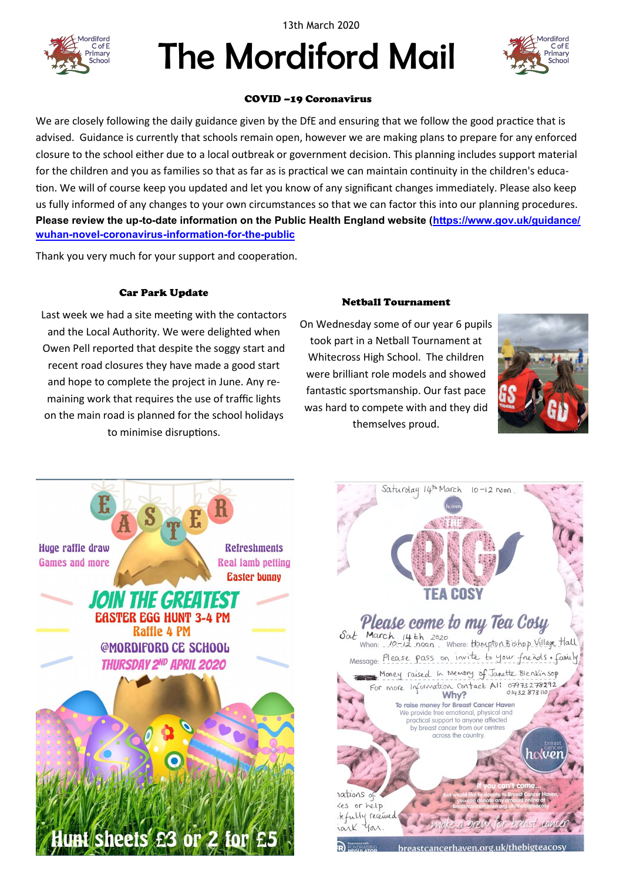13th March 2020



# The Mordiford Mail



### COVID –19 Coronavirus

We are closely following the daily guidance given by the DfE and ensuring that we follow the good practice that is advised. Guidance is currently that schools remain open, however we are making plans to prepare for any enforced closure to the school either due to a local outbreak or government decision. This planning includes support material for the children and you as families so that as far as is practical we can maintain continuity in the children's education. We will of course keep you updated and let you know of any significant changes immediately. Please also keep us fully informed of any changes to your own circumstances so that we can factor this into our planning procedures. **Please review the up-to-date information on the Public Health England website ([https://www.gov.uk/guidance/](https://www.gov.uk/guidance/wuhan-novel-coronavirus-information-for-the-public) wuhan-novel-[coronavirus](https://www.gov.uk/guidance/wuhan-novel-coronavirus-information-for-the-public)-information-for-the-public**

Thank you very much for your support and cooperation.

## Car Park Update

Last week we had a site meeting with the contactors and the Local Authority. We were delighted when Owen Pell reported that despite the soggy start and recent road closures they have made a good start and hope to complete the project in June. Any remaining work that requires the use of traffic lights on the main road is planned for the school holidays to minimise disruptions.

#### Netball Tournament

On Wednesday some of our year 6 pupils took part in a Netball Tournament at Whitecross High School. The children were brilliant role models and showed fantastic sportsmanship. Our fast pace was hard to compete with and they did themselves proud.